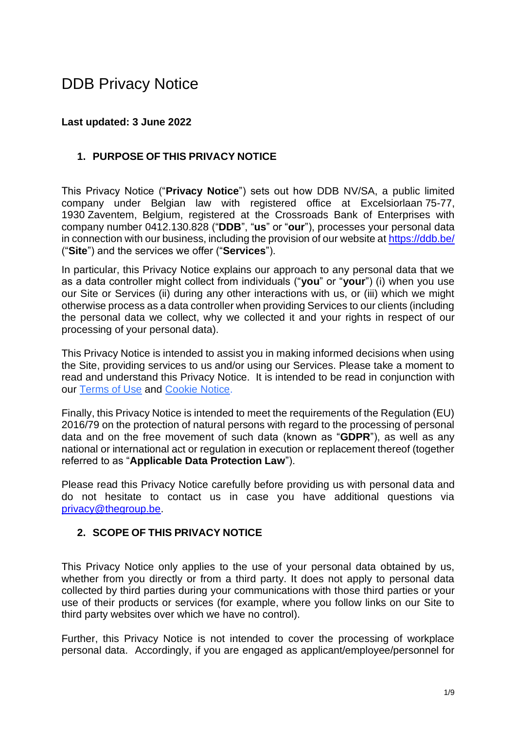# DDB Privacy Notice

#### **Last updated: 3 June 2022**

#### **1. PURPOSE OF THIS PRIVACY NOTICE**

This Privacy Notice ("**Privacy Notice**") sets out how DDB NV/SA, a public limited company under Belgian law with registered office at Excelsiorlaan 75-77, 1930 Zaventem, Belgium, registered at the Crossroads Bank of Enterprises with company number 0412.130.828 ("**DDB**", "**us**" or "**our**"), processes your personal data in connection with our business, including the provision of our website at<https://ddb.be/> ("**Site**") and the services we offer ("**Services**").

In particular, this Privacy Notice explains our approach to any personal data that we as a data controller might collect from individuals ("**you**" or "**your**") (i) when you use our Site or Services (ii) during any other interactions with us, or (iii) which we might otherwise process as a data controller when providing Services to our clients (including the personal data we collect, why we collected it and your rights in respect of our processing of your personal data).

This Privacy Notice is intended to assist you in making informed decisions when using the Site, providing services to us and/or using our Services. Please take a moment to read and understand this Privacy Notice. It is intended to be read in conjunction with our Terms of Use and Cookie Notice.

Finally, this Privacy Notice is intended to meet the requirements of the Regulation (EU) 2016/79 on the protection of natural persons with regard to the processing of personal data and on the free movement of such data (known as "**GDPR**"), as well as any national or international act or regulation in execution or replacement thereof (together referred to as "**Applicable Data Protection Law**").

Please read this Privacy Notice carefully before providing us with personal data and do not hesitate to contact us in case you have additional questions via [privacy@thegroup.be.](mailto:privacy@thegroup.be)

#### **2. SCOPE OF THIS PRIVACY NOTICE**

This Privacy Notice only applies to the use of your personal data obtained by us, whether from you directly or from a third party. It does not apply to personal data collected by third parties during your communications with those third parties or your use of their products or services (for example, where you follow links on our Site to third party websites over which we have no control).

Further, this Privacy Notice is not intended to cover the processing of workplace personal data. Accordingly, if you are engaged as applicant/employee/personnel for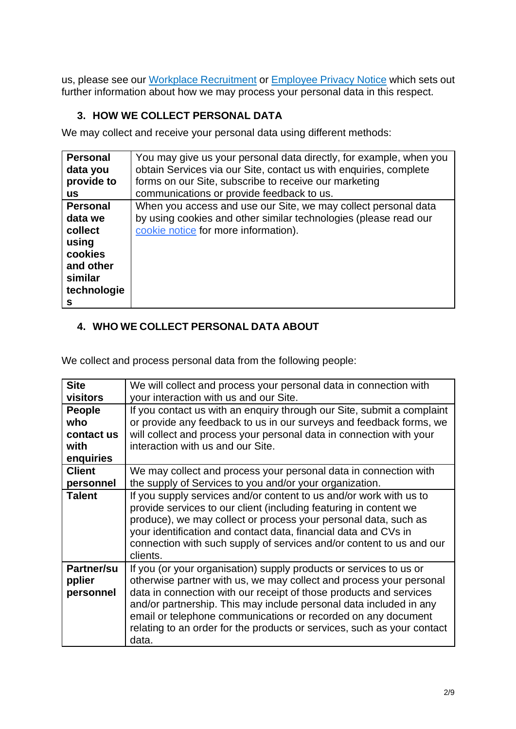us, please see our Workplace Recruitment or Employee Privacy Notice which sets out further information about how we may process your personal data in this respect.

# **3. HOW WE COLLECT PERSONAL DATA**

We may collect and receive your personal data using different methods:

| <b>Personal</b>                                                                                       | You may give us your personal data directly, for example, when you                                                                                                         |
|-------------------------------------------------------------------------------------------------------|----------------------------------------------------------------------------------------------------------------------------------------------------------------------------|
| data you                                                                                              | obtain Services via our Site, contact us with enquiries, complete                                                                                                          |
| provide to                                                                                            | forms on our Site, subscribe to receive our marketing                                                                                                                      |
| <b>US</b>                                                                                             | communications or provide feedback to us.                                                                                                                                  |
| <b>Personal</b><br>data we<br>collect<br>using<br>cookies<br>and other<br>similar<br>technologie<br>s | When you access and use our Site, we may collect personal data<br>by using cookies and other similar technologies (please read our<br>cookie notice for more information). |

# **4. WHO WE COLLECT PERSONAL DATA ABOUT**

We collect and process personal data from the following people:

| <b>Site</b>                              | We will collect and process your personal data in connection with                                                                                                                                                                                                                                                                                                                                                                          |
|------------------------------------------|--------------------------------------------------------------------------------------------------------------------------------------------------------------------------------------------------------------------------------------------------------------------------------------------------------------------------------------------------------------------------------------------------------------------------------------------|
|                                          |                                                                                                                                                                                                                                                                                                                                                                                                                                            |
| visitors                                 | your interaction with us and our Site.                                                                                                                                                                                                                                                                                                                                                                                                     |
| People                                   | If you contact us with an enquiry through our Site, submit a complaint                                                                                                                                                                                                                                                                                                                                                                     |
| who                                      | or provide any feedback to us in our surveys and feedback forms, we                                                                                                                                                                                                                                                                                                                                                                        |
| contact us                               | will collect and process your personal data in connection with your                                                                                                                                                                                                                                                                                                                                                                        |
| with                                     | interaction with us and our Site.                                                                                                                                                                                                                                                                                                                                                                                                          |
| enquiries                                |                                                                                                                                                                                                                                                                                                                                                                                                                                            |
| <b>Client</b>                            | We may collect and process your personal data in connection with                                                                                                                                                                                                                                                                                                                                                                           |
| personnel                                | the supply of Services to you and/or your organization.                                                                                                                                                                                                                                                                                                                                                                                    |
| <b>Talent</b>                            | If you supply services and/or content to us and/or work with us to<br>provide services to our client (including featuring in content we<br>produce), we may collect or process your personal data, such as<br>your identification and contact data, financial data and CVs in<br>connection with such supply of services and/or content to us and our<br>clients.                                                                          |
| <b>Partner/su</b><br>pplier<br>personnel | If you (or your organisation) supply products or services to us or<br>otherwise partner with us, we may collect and process your personal<br>data in connection with our receipt of those products and services<br>and/or partnership. This may include personal data included in any<br>email or telephone communications or recorded on any document<br>relating to an order for the products or services, such as your contact<br>data. |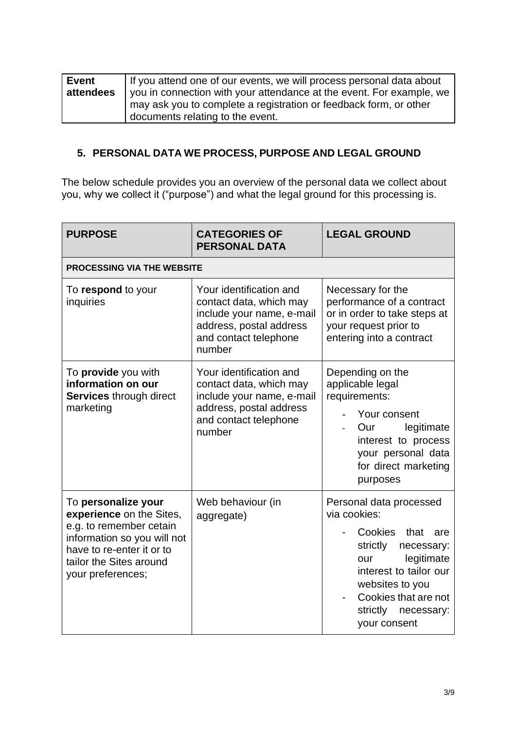| Event     | If you attend one of our events, we will process personal data about |
|-----------|----------------------------------------------------------------------|
| attendees | you in connection with your attendance at the event. For example, we |
|           | I may ask you to complete a registration or feedback form, or other  |
|           | documents relating to the event.                                     |

# **5. PERSONAL DATA WE PROCESS, PURPOSE AND LEGAL GROUND**

The below schedule provides you an overview of the personal data we collect about you, why we collect it ("purpose") and what the legal ground for this processing is.

| <b>PURPOSE</b>                                                                                                                                                                         | <b>CATEGORIES OF</b><br><b>PERSONAL DATA</b>                                                                                                  | <b>LEGAL GROUND</b>                                                                                                                                                                                                          |  |  |  |
|----------------------------------------------------------------------------------------------------------------------------------------------------------------------------------------|-----------------------------------------------------------------------------------------------------------------------------------------------|------------------------------------------------------------------------------------------------------------------------------------------------------------------------------------------------------------------------------|--|--|--|
| <b>PROCESSING VIA THE WEBSITE</b>                                                                                                                                                      |                                                                                                                                               |                                                                                                                                                                                                                              |  |  |  |
| To respond to your<br>inquiries                                                                                                                                                        | Your identification and<br>contact data, which may<br>include your name, e-mail<br>address, postal address<br>and contact telephone<br>number | Necessary for the<br>performance of a contract<br>or in order to take steps at<br>your request prior to<br>entering into a contract                                                                                          |  |  |  |
| To provide you with<br>information on our<br><b>Services through direct</b><br>marketing                                                                                               | Your identification and<br>contact data, which may<br>include your name, e-mail<br>address, postal address<br>and contact telephone<br>number | Depending on the<br>applicable legal<br>requirements:<br>Your consent<br>legitimate<br>Our<br>interest to process<br>your personal data<br>for direct marketing<br>purposes                                                  |  |  |  |
| To personalize your<br>experience on the Sites,<br>e.g. to remember cetain<br>information so you will not<br>have to re-enter it or to<br>tailor the Sites around<br>your preferences; | Web behaviour (in<br>aggregate)                                                                                                               | Personal data processed<br>via cookies:<br>Cookies<br>that<br>are<br>strictly<br>necessary:<br>legitimate<br>our<br>interest to tailor our<br>websites to you<br>Cookies that are not<br>strictly necessary:<br>your consent |  |  |  |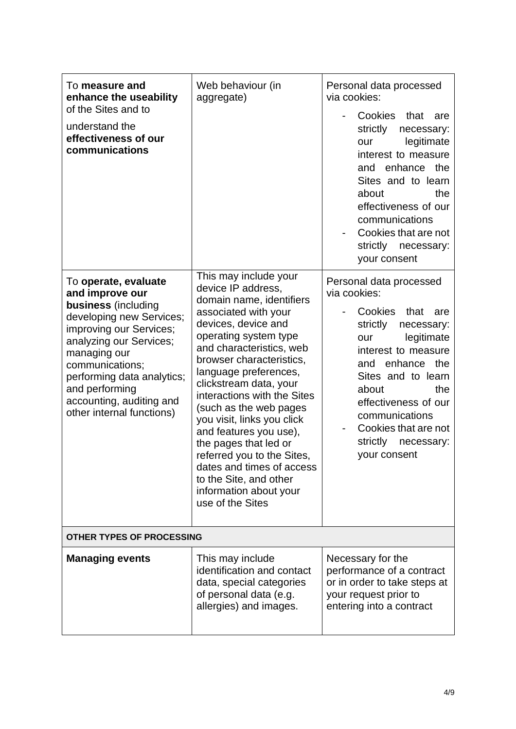| To measure and<br>enhance the useability<br>of the Sites and to<br>understand the<br>effectiveness of our<br>communications                                                                                                                                                                  | Web behaviour (in<br>aggregate)                                                                                                                                                                                                                                                                                                                                                                                                                                                                                                         | Personal data processed<br>via cookies:<br>Cookies that<br>are<br>strictly<br>necessary:<br>legitimate<br>our<br>interest to measure<br>the<br>enhance<br>and<br>Sites and to learn<br>about<br>the<br>effectiveness of our<br>communications<br>Cookies that are not<br>strictly<br>necessary:<br>your consent    |  |
|----------------------------------------------------------------------------------------------------------------------------------------------------------------------------------------------------------------------------------------------------------------------------------------------|-----------------------------------------------------------------------------------------------------------------------------------------------------------------------------------------------------------------------------------------------------------------------------------------------------------------------------------------------------------------------------------------------------------------------------------------------------------------------------------------------------------------------------------------|--------------------------------------------------------------------------------------------------------------------------------------------------------------------------------------------------------------------------------------------------------------------------------------------------------------------|--|
| To operate, evaluate<br>and improve our<br>business (including<br>developing new Services;<br>improving our Services;<br>analyzing our Services;<br>managing our<br>communications;<br>performing data analytics;<br>and performing<br>accounting, auditing and<br>other internal functions) | This may include your<br>device IP address,<br>domain name, identifiers<br>associated with your<br>devices, device and<br>operating system type<br>and characteristics, web<br>browser characteristics,<br>language preferences,<br>clickstream data, your<br>interactions with the Sites<br>(such as the web pages<br>you visit, links you click<br>and features you use),<br>the pages that led or<br>referred you to the Sites,<br>dates and times of access<br>to the Site, and other<br>information about your<br>use of the Sites | Personal data processed<br>via cookies:<br>Cookies<br>that<br>are<br>strictly<br>necessary:<br>legitimate<br>our<br>interest to measure<br>enhance<br>the<br>and<br>Sites and to learn<br>about<br>the<br>effectiveness of our<br>communications<br>Cookies that are not<br>strictly<br>necessary:<br>your consent |  |
| OTHER TYPES OF PROCESSING                                                                                                                                                                                                                                                                    |                                                                                                                                                                                                                                                                                                                                                                                                                                                                                                                                         |                                                                                                                                                                                                                                                                                                                    |  |
| <b>Managing events</b>                                                                                                                                                                                                                                                                       | This may include<br>identification and contact<br>data, special categories<br>of personal data (e.g.<br>allergies) and images.                                                                                                                                                                                                                                                                                                                                                                                                          | Necessary for the<br>performance of a contract<br>or in order to take steps at<br>your request prior to<br>entering into a contract                                                                                                                                                                                |  |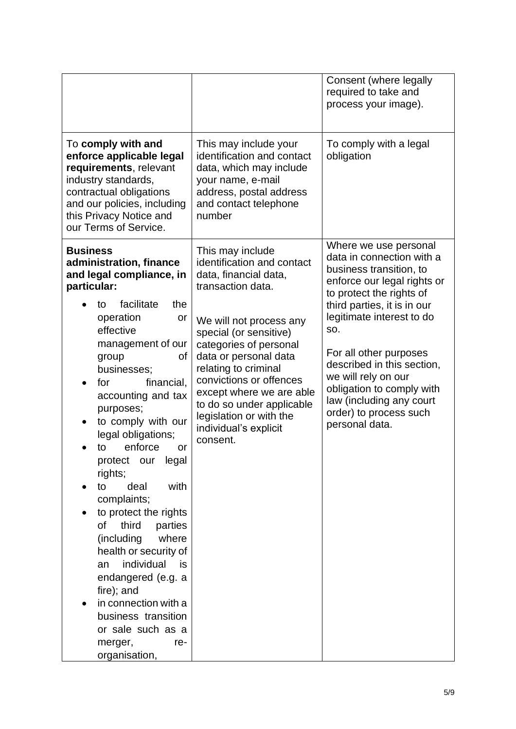|                                                                                                                                                                                                                                                                                                                                                                                                                                                                                                                                                                                                                                                                                  |                                                                                                                                                                                                                                                                                                                                                                                  | Consent (where legally<br>required to take and<br>process your image).                                                                                                                                                                                                                                                                                                                          |
|----------------------------------------------------------------------------------------------------------------------------------------------------------------------------------------------------------------------------------------------------------------------------------------------------------------------------------------------------------------------------------------------------------------------------------------------------------------------------------------------------------------------------------------------------------------------------------------------------------------------------------------------------------------------------------|----------------------------------------------------------------------------------------------------------------------------------------------------------------------------------------------------------------------------------------------------------------------------------------------------------------------------------------------------------------------------------|-------------------------------------------------------------------------------------------------------------------------------------------------------------------------------------------------------------------------------------------------------------------------------------------------------------------------------------------------------------------------------------------------|
| To comply with and<br>enforce applicable legal<br>requirements, relevant<br>industry standards,<br>contractual obligations<br>and our policies, including<br>this Privacy Notice and<br>our Terms of Service.                                                                                                                                                                                                                                                                                                                                                                                                                                                                    | This may include your<br>identification and contact<br>data, which may include<br>your name, e-mail<br>address, postal address<br>and contact telephone<br>number                                                                                                                                                                                                                | To comply with a legal<br>obligation                                                                                                                                                                                                                                                                                                                                                            |
| <b>Business</b><br>administration, finance<br>and legal compliance, in<br>particular:<br>facilitate<br>the<br>to<br>operation<br>or<br>effective<br>management of our<br>οf<br>group<br>businesses;<br>financial,<br>for<br>accounting and tax<br>purposes;<br>to comply with our<br>٠<br>legal obligations;<br>enforce<br>to<br>or<br>protect our legal<br>rights;<br>with<br>deal<br>to<br>complaints;<br>to protect the rights<br>0f<br>third<br>parties<br>(including<br>where<br>health or security of<br>individual<br>is<br>an<br>endangered (e.g. a<br>fire); and<br>in connection with a<br>business transition<br>or sale such as a<br>merger,<br>re-<br>organisation, | This may include<br>identification and contact<br>data, financial data,<br>transaction data.<br>We will not process any<br>special (or sensitive)<br>categories of personal<br>data or personal data<br>relating to criminal<br>convictions or offences<br>except where we are able<br>to do so under applicable<br>legislation or with the<br>individual's explicit<br>consent. | Where we use personal<br>data in connection with a<br>business transition, to<br>enforce our legal rights or<br>to protect the rights of<br>third parties, it is in our<br>legitimate interest to do<br>SO.<br>For all other purposes<br>described in this section,<br>we will rely on our<br>obligation to comply with<br>law (including any court<br>order) to process such<br>personal data. |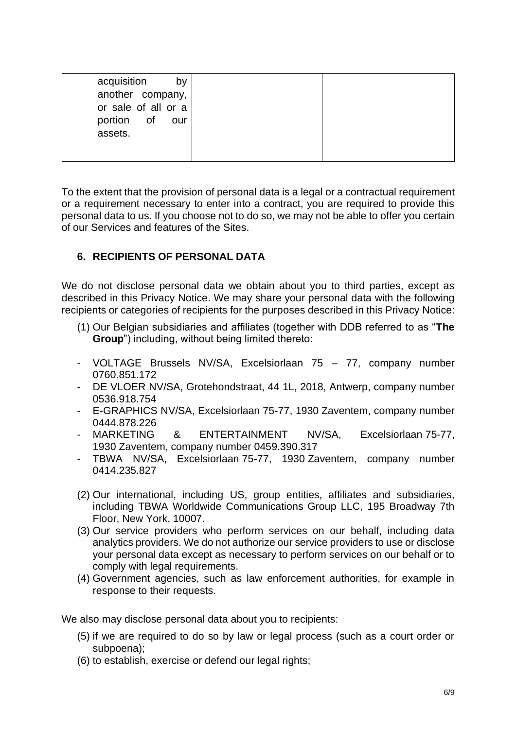To the extent that the provision of personal data is a legal or a contractual requirement or a requirement necessary to enter into a contract, you are required to provide this personal data to us. If you choose not to do so, we may not be able to offer you certain of our Services and features of the Sites.

# **6. RECIPIENTS OF PERSONAL DATA**

We do not disclose personal data we obtain about you to third parties, except as described in this Privacy Notice. We may share your personal data with the following recipients or categories of recipients for the purposes described in this Privacy Notice:

- (1) Our Belgian subsidiaries and affiliates (together with DDB referred to as "**The Group**") including, without being limited thereto:
- VOLTAGE Brussels NV/SA, Excelsiorlaan 75 77, company number [0760.851.172](https://kbopub.economie.fgov.be/kbopub/toonondernemingps.html?ondernemingsnummer=760851172)
- DE VLOER NV/SA, Grotehondstraat, 44 1L, 2018, Antwerp, company number 0536.918.754
- E-GRAPHICS NV/SA, Excelsiorlaan 75-77, 1930 Zaventem, company number [0444.878.226](https://kbopub.economie.fgov.be/kbopub/toonondernemingps.html?ondernemingsnummer=444878226)
- MARKETING & ENTERTAINMENT NV/SA, Excelsiorlaan 75-77, 1930 Zaventem, company number [0459.390.317](https://kbopub.economie.fgov.be/kbopub/toonondernemingps.html?ondernemingsnummer=459390317)
- TBWA NV/SA, Excelsiorlaan 75-77, 1930 Zaventem, company number [0414.235.827](https://kbopub.economie.fgov.be/kbopub/toonondernemingps.html?ondernemingsnummer=414235827)
- (2) Our international, including US, group entities, affiliates and subsidiaries, including TBWA Worldwide Communications Group LLC, 195 Broadway 7th Floor, New York, 10007.
- (3) Our service providers who perform services on our behalf, including data analytics providers. We do not authorize our service providers to use or disclose your personal data except as necessary to perform services on our behalf or to comply with legal requirements.
- (4) Government agencies, such as law enforcement authorities, for example in response to their requests.

We also may disclose personal data about you to recipients:

- (5) if we are required to do so by law or legal process (such as a court order or subpoena);
- (6) to establish, exercise or defend our legal rights;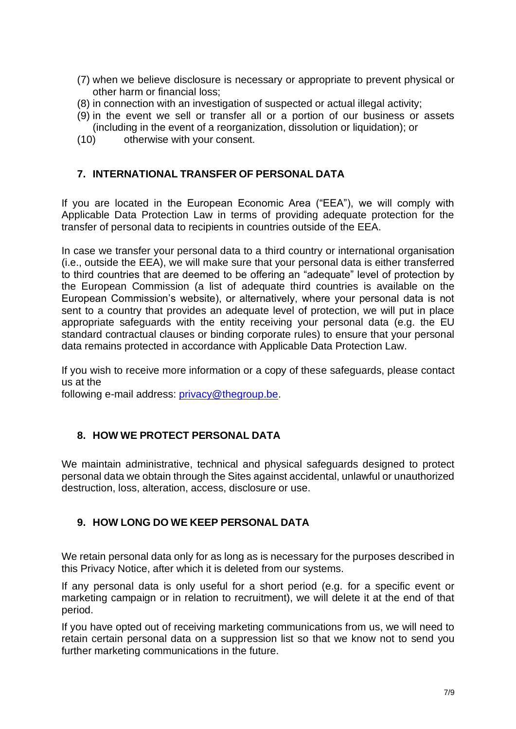- (7) when we believe disclosure is necessary or appropriate to prevent physical or other harm or financial loss;
- (8) in connection with an investigation of suspected or actual illegal activity;
- (9) in the event we sell or transfer all or a portion of our business or assets (including in the event of a reorganization, dissolution or liquidation); or
- (10) otherwise with your consent.

#### **7. INTERNATIONAL TRANSFER OF PERSONAL DATA**

If you are located in the European Economic Area ("EEA"), we will comply with Applicable Data Protection Law in terms of providing adequate protection for the transfer of personal data to recipients in countries outside of the EEA.

In case we transfer your personal data to a third country or international organisation (i.e., outside the EEA), we will make sure that your personal data is either transferred to third countries that are deemed to be offering an "adequate" level of protection by the European Commission (a list of adequate third countries is available on the European Commission's website), or alternatively, where your personal data is not sent to a country that provides an adequate level of protection, we will put in place appropriate safeguards with the entity receiving your personal data (e.g. the EU standard contractual clauses or binding corporate rules) to ensure that your personal data remains protected in accordance with Applicable Data Protection Law.

If you wish to receive more information or a copy of these safeguards, please contact us at the

following e-mail address: [privacy@thegroup.be.](mailto:privacy@thegroup.be)

#### **8. HOW WE PROTECT PERSONAL DATA**

We maintain administrative, technical and physical safeguards designed to protect personal data we obtain through the Sites against accidental, unlawful or unauthorized destruction, loss, alteration, access, disclosure or use.

# **9. HOW LONG DO WE KEEP PERSONAL DATA**

We retain personal data only for as long as is necessary for the purposes described in this Privacy Notice, after which it is deleted from our systems.

If any personal data is only useful for a short period (e.g. for a specific event or marketing campaign or in relation to recruitment), we will delete it at the end of that period.

If you have opted out of receiving marketing communications from us, we will need to retain certain personal data on a suppression list so that we know not to send you further marketing communications in the future.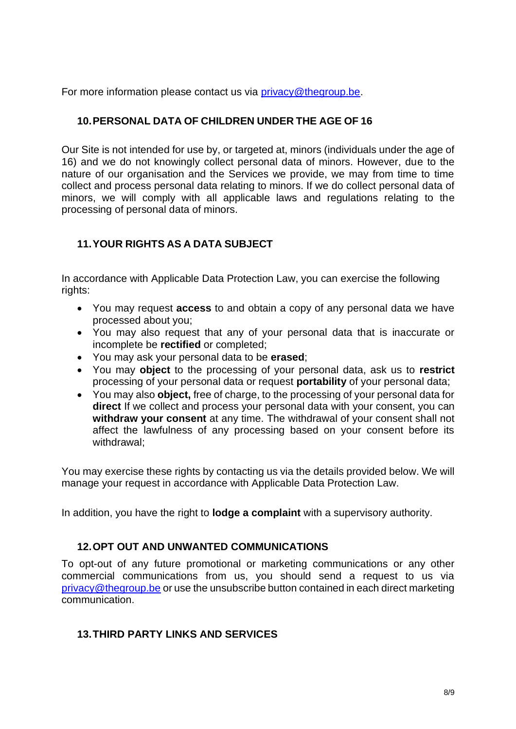For more information please contact us via [privacy@thegroup.be.](mailto:privacy@thegroup.be)

# **10.PERSONAL DATA OF CHILDREN UNDER THE AGE OF 16**

Our Site is not intended for use by, or targeted at, minors (individuals under the age of 16) and we do not knowingly collect personal data of minors. However, due to the nature of our organisation and the Services we provide, we may from time to time collect and process personal data relating to minors. If we do collect personal data of minors, we will comply with all applicable laws and regulations relating to the processing of personal data of minors.

# **11.YOUR RIGHTS AS A DATA SUBJECT**

In accordance with Applicable Data Protection Law, you can exercise the following rights:

- You may request **access** to and obtain a copy of any personal data we have processed about you;
- You may also request that any of your personal data that is inaccurate or incomplete be **rectified** or completed;
- You may ask your personal data to be **erased**;
- You may **object** to the processing of your personal data, ask us to **restrict** processing of your personal data or request **portability** of your personal data;
- You may also **object,** free of charge, to the processing of your personal data for **direct** If we collect and process your personal data with your consent, you can **withdraw your consent** at any time. The withdrawal of your consent shall not affect the lawfulness of any processing based on your consent before its withdrawal<sup>-</sup>

You may exercise these rights by contacting us via the details provided below. We will manage your request in accordance with Applicable Data Protection Law.

In addition, you have the right to **lodge a complaint** with a supervisory authority.

# **12.OPT OUT AND UNWANTED COMMUNICATIONS**

To opt-out of any future promotional or marketing communications or any other commercial communications from us, you should send a request to us via [privacy@thegroup.be](mailto:privacy@thegroup.be) or use the unsubscribe button contained in each direct marketing communication.

#### **13.THIRD PARTY LINKS AND SERVICES**